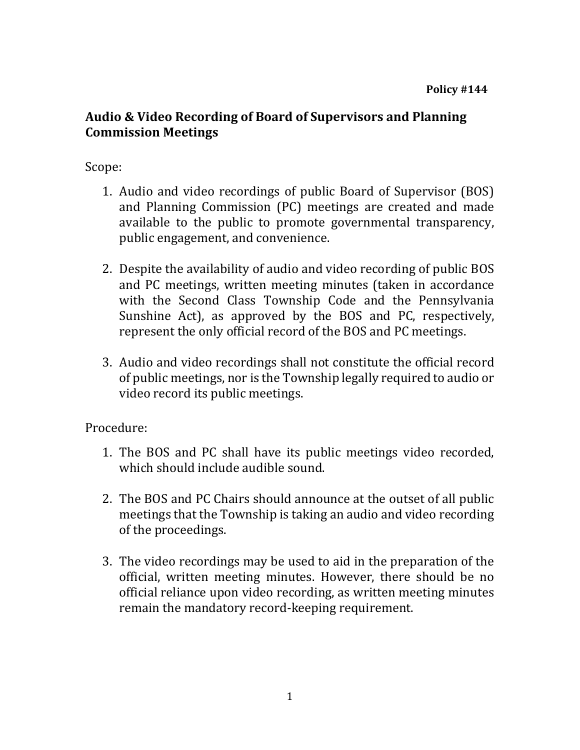## **Audio & Video Recording of Board of Supervisors and Planning Commission Meetings**

## Scope:

- 1. Audio and video recordings of public Board of Supervisor (BOS) and Planning Commission (PC) meetings are created and made available to the public to promote governmental transparency, public engagement, and convenience.
- 2. Despite the availability of audio and video recording of public BOS and PC meetings, written meeting minutes (taken in accordance with the Second Class Township Code and the Pennsylvania Sunshine Act), as approved by the BOS and PC, respectively, represent the only official record of the BOS and PC meetings.
- 3. Audio and video recordings shall not constitute the official record of public meetings, nor is the Township legally required to audio or video record its public meetings.

Procedure:

- 1. The BOS and PC shall have its public meetings video recorded, which should include audible sound.
- 2. The BOS and PC Chairs should announce at the outset of all public meetings that the Township is taking an audio and video recording of the proceedings.
- 3. The video recordings may be used to aid in the preparation of the official, written meeting minutes. However, there should be no official reliance upon video recording, as written meeting minutes remain the mandatory record-keeping requirement.